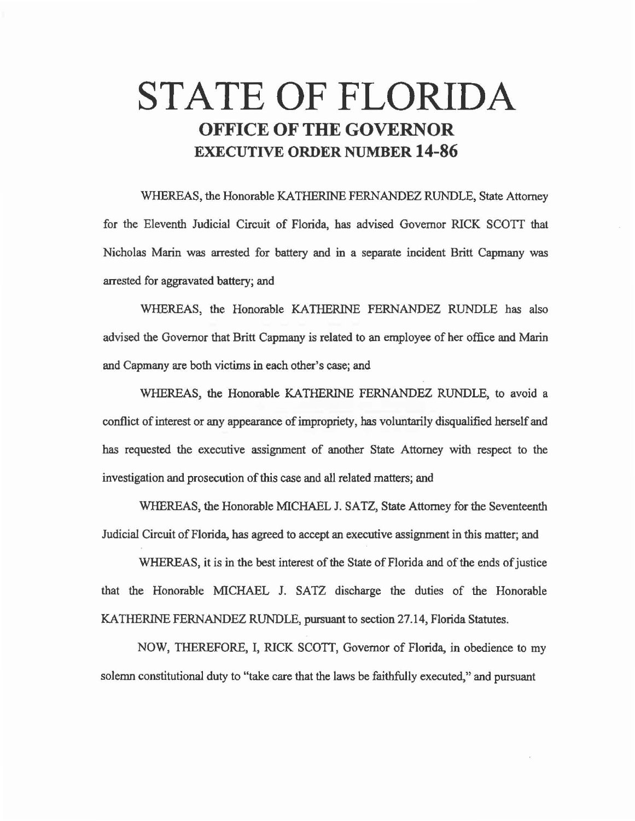# STATE OF FLORIDA **OFFICE OF THE GOVERNOR**  EXECUTIVE **ORDER NUMBER 14-86**

WHEREAS, the Honorable KATHERINE FERNANDEZ RUNDLE, State Attorney for the Eleventh Judicial Circuit of Florida, has advised Governor RICK SCOTT that Nicholas Marin was arrested for battery and in a separate incident Britt Capmany was arrested for aggravated battery; and

WHEREAS, the Honorable KATHERINE FERNANDEZ RUNDLE has also advised the Governor that Britt Capmany is related to an employee of her office and Marin and Capmany are both victims in each other's case; and

WHEREAS, the Honorable KATHERINE FERNANDEZ RUNDLE, to avoid a conflict of interest or any appearance of impropriety, bas voluntarily disqualified herself and has requested the executive assignment of another State Attorney with respect to the investigation and prosecution of this case and all related matters; and

WHEREAS, the Honorable MICHAEL J. SATZ, State Attorney for the Seventeenth Judicial Circuit of Florida, has agreed to accept an executive assignment in this matter; and

WHEREAS, it is in the best interest of the State of Florida and of the ends of justice that the Honorable MICHAEL J. SATZ discharge the duties of the Honorable KATHERINE FERNANDEZ RUNDLE, pursuant to section 27.14, Florida Statutes.

NOW, THEREFORE, I, RICK SCOTT, Governor of Florida, in obedience to my solemn constitutional duty to "take care that the laws be faithfully executed," and pursuant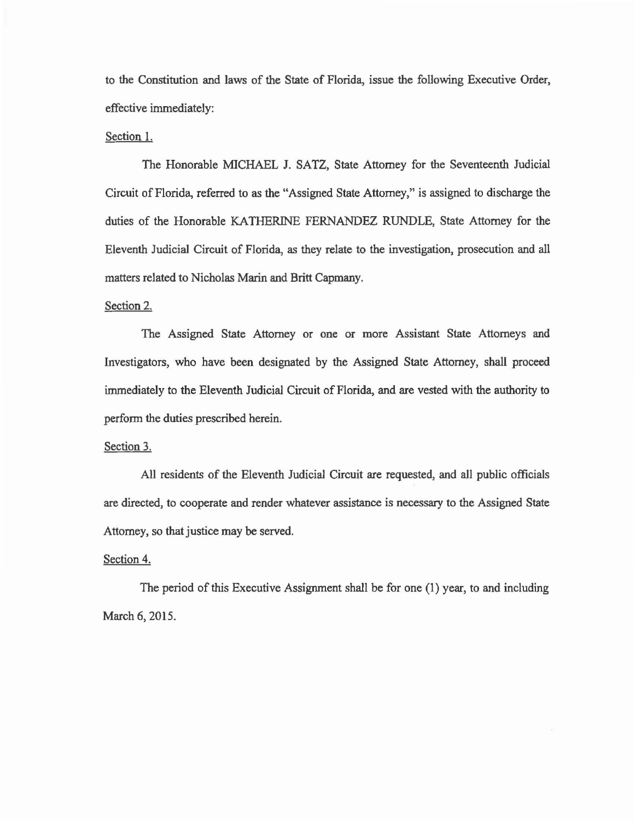to the Constitution and laws of the State of Florida, issue the following Executive Order, effective immediately:

#### Section 1.

The Honorable MICHAEL J. SATZ, State Attorney for the Seventeenth Judicial Circuit of Florida, referred to as the "Assigned State Attorney," is assigned to discharge the duties of the Honorable KATHERINE FERNANDEZ RUNDLE, State Attorney for the Eleventh Judicial Circuit of Florida, as they relate to the investigation, prosecution and all matters related to Nicholas Marin and Britt Capmany.

## Section 2.

The Assigned State Attorney or one or more Assistant State Attorneys and Investigators, who have been designated by the Assigned State Attorney, shall proceed immediately to the Eleventh Judicial Circuit of Florida, and are vested with the authority to perform the duties prescribed herein.

#### Section 3.

All residents of the Eleventh Judicial Circuit are requested, and all public officials are directed, to cooperate and render whatever assistance is necessary to the Assigned State Attorney, so that justice may be served.

## Section 4.

The period of this Executive Assignment shall be for one (1) year, to and including March 6, 2015.